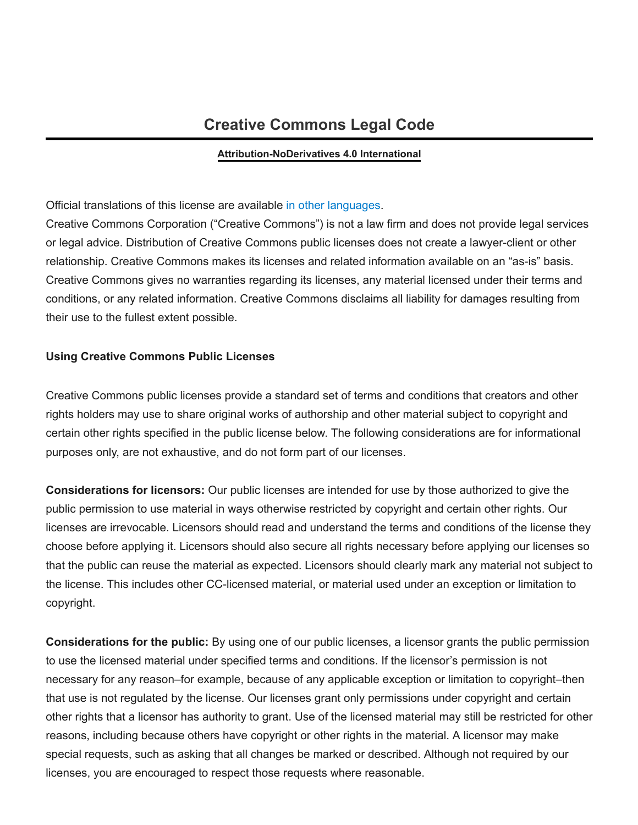# **Creative Commons Legal Code**

#### **Attribution-NoDerivatives 4.0 International**

#### Official translations of this license are available in other [languages](#page-6-0).

Creative Commons Corporation ("Creative Commons") is not a law firm and does not provide legal services or legal advice. Distribution of Creative Commons public licenses does not create a lawyer-client or other relationship. Creative Commons makes its licenses and related information available on an "as-is" basis. Creative Commons gives no warranties regarding its licenses, any material licensed under their terms and conditions, or any related information. Creative Commons disclaims all liability for damages resulting from their use to the fullest extent possible.

#### **Using Creative Commons Public Licenses**

Creative Commons public licenses provide a standard set of terms and conditions that creators and other rights holders may use to share original works of authorship and other material subject to copyright and certain other rights specified in the public license below. The following considerations are for informational purposes only, are not exhaustive, and do not form part of our licenses.

**Considerations for licensors:** Our public licenses are intended for use by those authorized to give the public permission to use material in ways otherwise restricted by copyright and certain other rights. Our licenses are irrevocable. Licensors should read and understand the terms and conditions of the license they choose before applying it. Licensors should also secure all rights necessary before applying our licenses so that the public can reuse the material as expected. Licensors should clearly mark any material not subject to the license. This includes other CC-licensed material, or material used under an exception or limitation to copyright.

**Considerations for the public:** By using one of our public licenses, a licensor grants the public permission to use the licensed material under specified terms and conditions. If the licensor's permission is not necessary for any reason–for example, because of any applicable exception or limitation to copyright–then that use is not regulated by the license. Our licenses grant only permissions under copyright and certain other rights that a licensor has authority to grant. Use of the licensed material may still be restricted for other reasons, including because others have copyright or other rights in the material. A licensor may make special requests, such as asking that all changes be marked or described. Although not required by our licenses, you are encouraged to respect those requests where reasonable.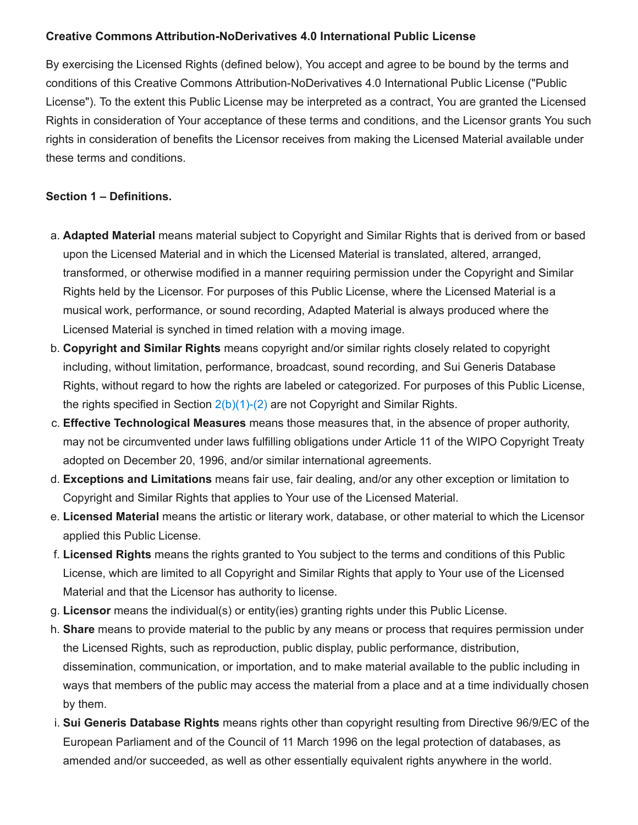### **Creative Commons Attribution-NoDerivatives 4.0 International Public License**

By exercising the Licensed Rights (defined below), You accept and agree to be bound by the terms and conditions of this Creative Commons Attribution-NoDerivatives 4.0 International Public License ("Public License"). To the extent this Public License may be interpreted as a contract, You are granted the Licensed Rights in consideration of Your acceptance of these terms and conditions, and the Licensor grants You such rights in consideration of benefits the Licensor receives from making the Licensed Material available under these terms and conditions.

#### <span id="page-1-0"></span>**Section 1 – Definitions.**

- a. **Adapted Material** means material subject to Copyright and Similar Rights that is derived from or based upon the Licensed Material and in which the Licensed Material is translated, altered, arranged, transformed, or otherwise modified in a manner requiring permission under the Copyright and Similar Rights held by the Licensor. For purposes of this Public License, where the Licensed Material is a musical work, performance, or sound recording, Adapted Material is always produced where the Licensed Material is synched in timed relation with a moving image.
- b. **Copyright and Similar Rights** means copyright and/or similar rights closely related to copyright including, without limitation, performance, broadcast, sound recording, and Sui Generis Database Rights, without regard to how the rights are labeled or categorized. For purposes of this Public License, the rights specified in Section  $2(b)(1)-(2)$  are not Copyright and Similar Rights.
- c. **Effective Technological Measures** means those measures that, in the absence of proper authority, may not be circumvented under laws fulfilling obligations under Article 11 of the WIPO Copyright Treaty adopted on December 20, 1996, and/or similar international agreements.
- d. **Exceptions and Limitations** means fair use, fair dealing, and/or any other exception or limitation to Copyright and Similar Rights that applies to Your use of the Licensed Material.
- e. **Licensed Material** means the artistic or literary work, database, or other material to which the Licensor applied this Public License.
- f. **Licensed Rights** means the rights granted to You subject to the terms and conditions of this Public License, which are limited to all Copyright and Similar Rights that apply to Your use of the Licensed Material and that the Licensor has authority to license.
- g. **Licensor** means the individual(s) or entity(ies) granting rights under this Public License.
- h. **Share** means to provide material to the public by any means or process that requires permission under the Licensed Rights, such as reproduction, public display, public performance, distribution, dissemination, communication, or importation, and to make material available to the public including in ways that members of the public may access the material from a place and at a time individually chosen by them.
- i. **Sui Generis Database Rights** means rights other than copyright resulting from Directive 96/9/EC of the European Parliament and of the Council of 11 March 1996 on the legal protection of databases, as amended and/or succeeded, as well as other essentially equivalent rights anywhere in the world.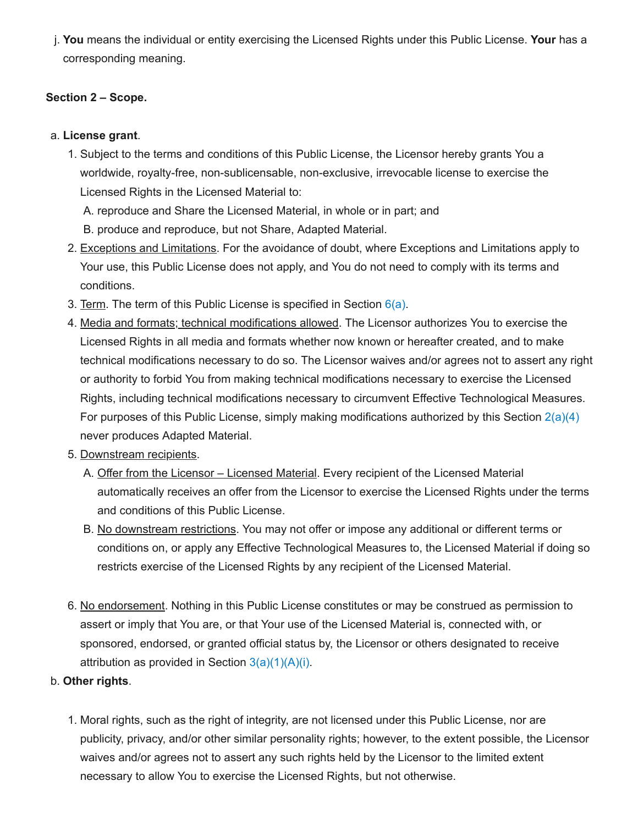j. **You** means the individual or entity exercising the Licensed Rights under this Public License. **Your** has a corresponding meaning.

# **Section 2 – Scope.**

# a. **License grant**.

<span id="page-2-2"></span>1. Subject to the terms and conditions of this Public License, the Licensor hereby grants You a worldwide, royalty-free, non-sublicensable, non-exclusive, irrevocable license to exercise the Licensed Rights in the Licensed Material to:

A. reproduce and Share the Licensed Material, in whole or in part; and

B. produce and reproduce, but not Share, Adapted Material.

- 2. Exceptions and Limitations. For the avoidance of doubt, where Exceptions and Limitations apply to Your use, this Public License does not apply, and You do not need to comply with its terms and conditions.
- 3. Term. The term of this Public License is specified in Section  $6(a)$ .
- <span id="page-2-1"></span>4. Media and formats; technical modifications allowed. The Licensor authorizes You to exercise the Licensed Rights in all media and formats whether now known or hereafter created, and to make technical modifications necessary to do so. The Licensor waives and/or agrees not to assert any right or authority to forbid You from making technical modifications necessary to exercise the Licensed Rights, including technical modifications necessary to circumvent Effective Technological Measures. For purposes of this Public License, simply making modifications authorized by this Section  $2(a)(4)$ never produces Adapted Material.
- 5. Downstream recipients.
	- A. Offer from the Licensor Licensed Material. Every recipient of the Licensed Material automatically receives an offer from the Licensor to exercise the Licensed Rights under the terms and conditions of this Public License.
	- B. No downstream restrictions. You may not offer or impose any additional or different terms or conditions on, or apply any Effective Technological Measures to, the Licensed Material if doing so restricts exercise of the Licensed Rights by any recipient of the Licensed Material.
- 6. No endorsement. Nothing in this Public License constitutes or may be construed as permission to assert or imply that You are, or that Your use of the Licensed Material is, connected with, or sponsored, endorsed, or granted official status by, the Licensor or others designated to receive attribution as provided in Section  $3(a)(1)(A)(i)$ .
- <span id="page-2-0"></span>b. **Other rights**.
	- 1. Moral rights, such as the right of integrity, are not licensed under this Public License, nor are publicity, privacy, and/or other similar personality rights; however, to the extent possible, the Licensor waives and/or agrees not to assert any such rights held by the Licensor to the limited extent necessary to allow You to exercise the Licensed Rights, but not otherwise.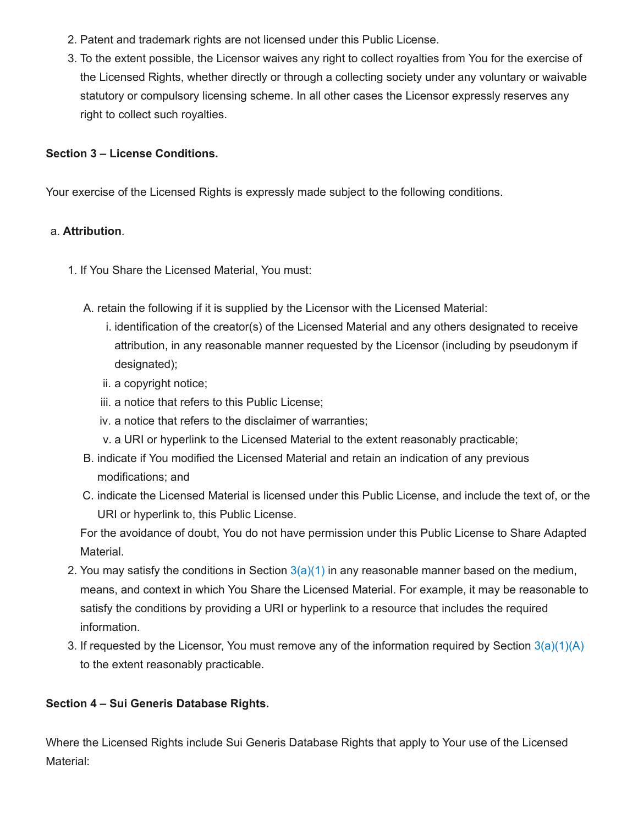- 2. Patent and trademark rights are not licensed under this Public License.
- 3. To the extent possible, the Licensor waives any right to collect royalties from You for the exercise of the Licensed Rights, whether directly or through a collecting society under any voluntary or waivable statutory or compulsory licensing scheme. In all other cases the Licensor expressly reserves any right to collect such royalties.

### **Section 3 – License Conditions.**

Your exercise of the Licensed Rights is expressly made subject to the following conditions.

#### <span id="page-3-3"></span>a. **Attribution**.

- <span id="page-3-2"></span><span id="page-3-1"></span><span id="page-3-0"></span>1. If You Share the Licensed Material, You must:
	- A. retain the following if it is supplied by the Licensor with the Licensed Material:
		- i. identification of the creator(s) of the Licensed Material and any others designated to receive attribution, in any reasonable manner requested by the Licensor (including by pseudonym if designated);
		- ii. a copyright notice;
		- iii. a notice that refers to this Public License;
		- iv. a notice that refers to the disclaimer of warranties;
		- v. a URI or hyperlink to the Licensed Material to the extent reasonably practicable;
	- B. indicate if You modified the Licensed Material and retain an indication of any previous modifications; and
	- C. indicate the Licensed Material is licensed under this Public License, and include the text of, or the URI or hyperlink to, this Public License.

For the avoidance of doubt, You do not have permission under this Public License to Share Adapted Material.

- 2. You may satisfy the conditions in Section  $3(a)(1)$  in any reasonable manner based on the medium, means, and context in which You Share the Licensed Material. For example, it may be reasonable to satisfy the conditions by providing a URI or hyperlink to a resource that includes the required information.
- 3. If requested by the Licensor, You must remove any of the information required by Section  $3(a)(1)(A)$ to the extent reasonably practicable.

# <span id="page-3-4"></span>**Section 4 – Sui Generis Database Rights.**

Where the Licensed Rights include Sui Generis Database Rights that apply to Your use of the Licensed Material: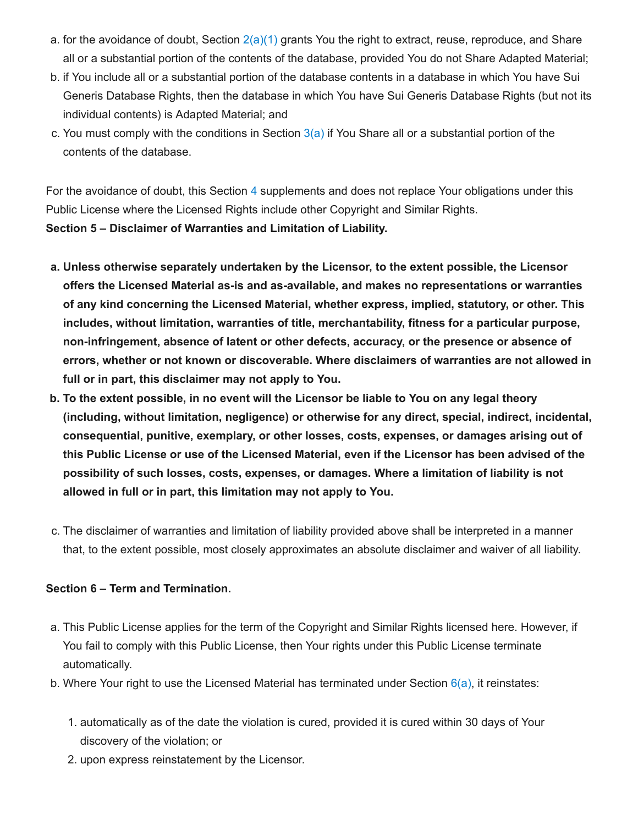- a. for the avoidance of doubt, Section  $2(a)(1)$  grants You the right to extract, reuse, reproduce, and Share all or a substantial portion of the contents of the database, provided You do not Share Adapted Material;
- b. if You include all or a substantial portion of the database contents in a database in which You have Sui Generis Database Rights, then the database in which You have Sui Generis Database Rights (but not its individual contents) is Adapted Material; and
- c. You must comply with the conditions in Section  $3(a)$  if You Share all or a substantial portion of the contents of the database.

For the avoidance of doubt, this Section [4](#page-3-4) supplements and does not replace Your obligations under this Public License where the Licensed Rights include other Copyright and Similar Rights.

<span id="page-4-2"></span>**Section 5 – Disclaimer of Warranties and Limitation of Liability.**

- **a. Unless otherwise separately undertaken by the Licensor, to the extent possible, the Licensor offers the Licensed Material as-is and as-available, and makes no representations or warranties of any kind concerning the Licensed Material, whether express, implied, statutory, or other. This includes, without limitation, warranties of title, merchantability, fitness for a particular purpose, non-infringement, absence of latent or other defects, accuracy, or the presence or absence of errors, whether or not known or discoverable. Where disclaimers of warranties are not allowed in full or in part, this disclaimer may not apply to You.**
- b. To the extent possible, in no event will the Licensor be liable to You on any legal theory **(including, without limitation, negligence) or otherwise for any direct, special, indirect, incidental, consequential, punitive, exemplary, or other losses, costs, expenses, or damages arising out of this Public License or use of the Licensed Material, even if the Licensor has been advised of the possibility of such losses, costs, expenses, or damages. Where a limitation of liability is not allowed in full or in part, this limitation may not apply to You.**
- c. The disclaimer of warranties and limitation of liability provided above shall be interpreted in a manner that, to the extent possible, most closely approximates an absolute disclaimer and waiver of all liability.

# <span id="page-4-3"></span>**Section 6 – Term and Termination.**

- <span id="page-4-0"></span>a. This Public License applies for the term of the Copyright and Similar Rights licensed here. However, if You fail to comply with this Public License, then Your rights under this Public License terminate automatically.
- <span id="page-4-1"></span>b. Where Your right to use the Licensed Material has terminated under Section  $6(a)$ , it reinstates:
	- 1. automatically as of the date the violation is cured, provided it is cured within 30 days of Your discovery of the violation; or
	- 2. upon express reinstatement by the Licensor.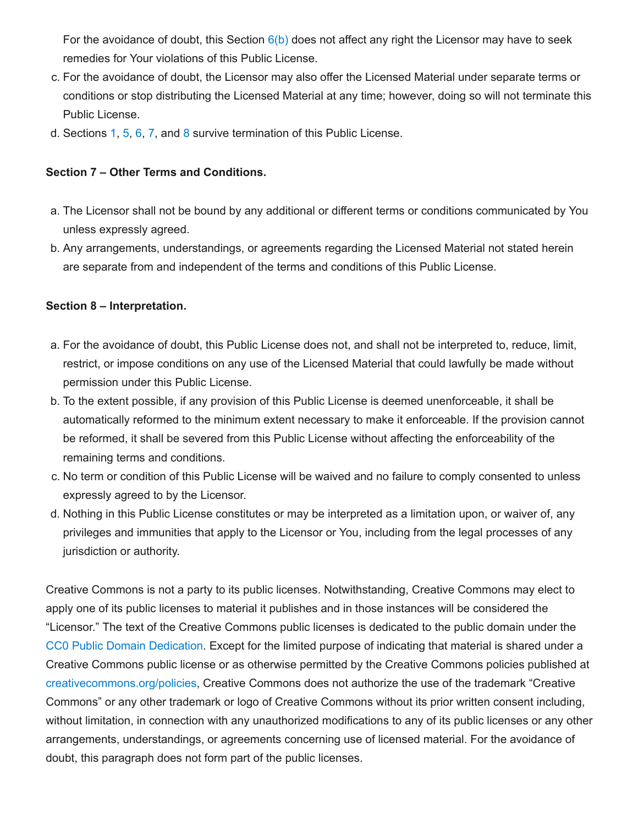For the avoidance of doubt, this Section  $6(b)$  does not affect any right the Licensor may have to seek remedies for Your violations of this Public License.

- c. For the avoidance of doubt, the Licensor may also offer the Licensed Material under separate terms or conditions or stop distributing the Licensed Material at any time; however, doing so will not terminate this Public License.
- d. Sections [1,](#page-1-0) [5](#page-4-2), [6](#page-4-3), [7](#page-5-0), and [8](#page-5-1) survive termination of this Public License.

### <span id="page-5-0"></span>**Section 7 – Other Terms and Conditions.**

- a. The Licensor shall not be bound by any additional or different terms or conditions communicated by You unless expressly agreed.
- b. Any arrangements, understandings, or agreements regarding the Licensed Material not stated herein are separate from and independent of the terms and conditions of this Public License.

#### <span id="page-5-1"></span>**Section 8 – Interpretation.**

- a. For the avoidance of doubt, this Public License does not, and shall not be interpreted to, reduce, limit, restrict, or impose conditions on any use of the Licensed Material that could lawfully be made without permission under this Public License.
- b. To the extent possible, if any provision of this Public License is deemed unenforceable, it shall be automatically reformed to the minimum extent necessary to make it enforceable. If the provision cannot be reformed, it shall be severed from this Public License without affecting the enforceability of the remaining terms and conditions.
- c. No term or condition of this Public License will be waived and no failure to comply consented to unless expressly agreed to by the Licensor.
- d. Nothing in this Public License constitutes or may be interpreted as a limitation upon, or waiver of, any privileges and immunities that apply to the Licensor or You, including from the legal processes of any jurisdiction or authority.

Creative Commons is not a party to its public licenses. Notwithstanding, Creative Commons may elect to apply one of its public licenses to material it publishes and in those instances will be considered the "Licensor." The text of the Creative Commons public licenses is dedicated to the public domain under the CC0 Public Domain [Dedication.](https://creativecommons.org/publicdomain/zero/1.0/legalcode) Except for the limited purpose of indicating that material is shared under a Creative Commons public license or as otherwise permitted by the Creative Commons policies published at [creativecommons.org/policies,](https://creativecommons.org/policies) Creative Commons does not authorize the use of the trademark "Creative Commons" or any other trademark or logo of Creative Commons without its prior written consent including, without limitation, in connection with any unauthorized modifications to any of its public licenses or any other arrangements, understandings, or agreements concerning use of licensed material. For the avoidance of doubt, this paragraph does not form part of the public licenses.